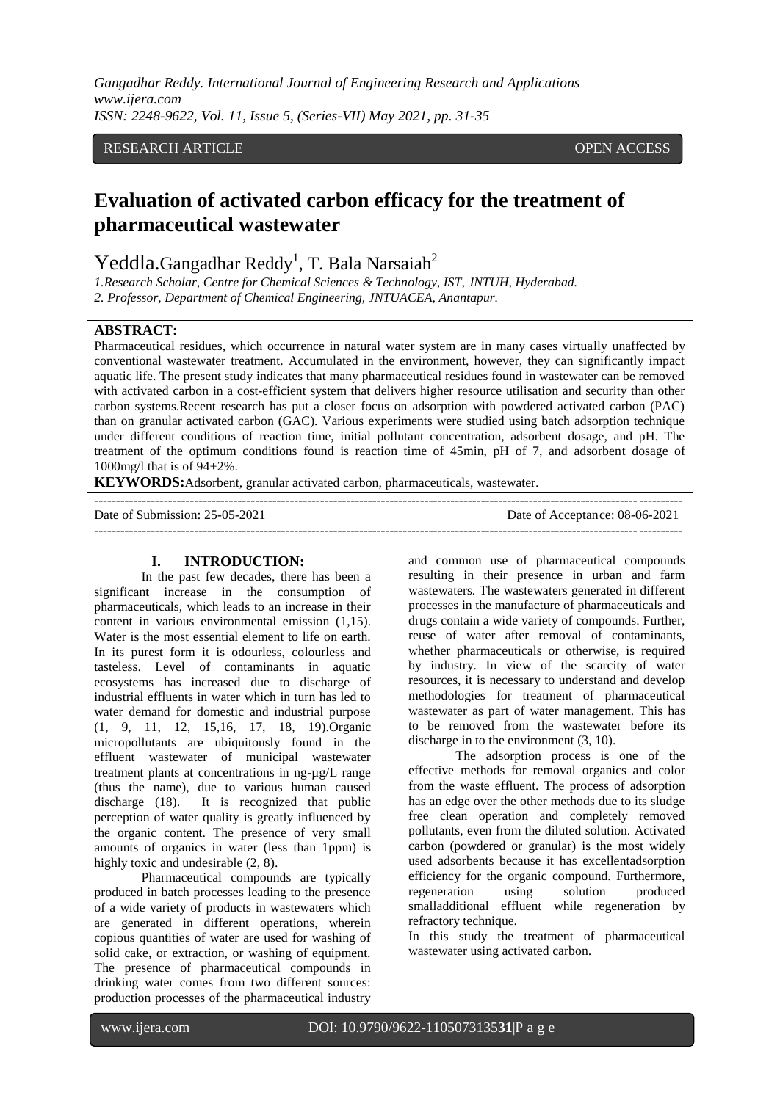*Gangadhar Reddy. International Journal of Engineering Research and Applications www.ijera.com ISSN: 2248-9622, Vol. 11, Issue 5, (Series-VII) May 2021, pp. 31-35*

## RESEARCH ARTICLE OPEN ACCESS

# **Evaluation of activated carbon efficacy for the treatment of pharmaceutical wastewater**

Yeddla.Gangadhar Reddy<sup>1</sup>, T. Bala Narsaiah<sup>2</sup>

*1.Research Scholar, Centre for Chemical Sciences & Technology, IST, JNTUH, Hyderabad. 2. Professor, Department of Chemical Engineering, JNTUACEA, Anantapur.*

#### **ABSTRACT:**

Pharmaceutical residues, which occurrence in natural water system are in many cases virtually unaffected by conventional wastewater treatment. Accumulated in the environment, however, they can significantly impact aquatic life. The present study indicates that many pharmaceutical residues found in wastewater can be removed with activated carbon in a cost-efficient system that delivers higher resource utilisation and security than other carbon systems.Recent research has put a closer focus on adsorption with powdered activated carbon (PAC) than on granular activated carbon (GAC). Various experiments were studied using batch adsorption technique under different conditions of reaction time, initial pollutant concentration, adsorbent dosage, and pH. The treatment of the optimum conditions found is reaction time of 45min, pH of 7, and adsorbent dosage of 1000mg/l that is of 94+2%.

---------------------------------------------------------------------------------------------------------------------------------------

**KEYWORDS:**Adsorbent, granular activated carbon, pharmaceuticals, wastewater.

Date of Submission: 25-05-2021 Date of Acceptance: 08-06-2021 ---------------------------------------------------------------------------------------------------------------------------------------

#### **I. INTRODUCTION:**

In the past few decades, there has been a significant increase in the consumption of pharmaceuticals, which leads to an increase in their content in various environmental emission (1,15). Water is the most essential element to life on earth. In its purest form it is odourless, colourless and tasteless. Level of contaminants in aquatic ecosystems has increased due to discharge of industrial effluents in water which in turn has led to water demand for domestic and industrial purpose (1, 9, 11, 12, 15,16, 17, 18, 19).Organic micropollutants are ubiquitously found in the effluent wastewater of municipal wastewater treatment plants at concentrations in ng-µg/L range (thus the name), due to various human caused discharge (18). It is recognized that public perception of water quality is greatly influenced by the organic content. The presence of very small amounts of organics in water (less than 1ppm) is highly toxic and undesirable  $(2, 8)$ .

Pharmaceutical compounds are typically produced in batch processes leading to the presence of a wide variety of products in wastewaters which are generated in different operations, wherein copious quantities of water are used for washing of solid cake, or extraction, or washing of equipment. The presence of pharmaceutical compounds in drinking water comes from two different sources: production processes of the pharmaceutical industry

and common use of pharmaceutical compounds resulting in their presence in urban and farm wastewaters. The wastewaters generated in different processes in the manufacture of pharmaceuticals and drugs contain a wide variety of compounds. Further, reuse of water after removal of contaminants, whether pharmaceuticals or otherwise, is required by industry. In view of the scarcity of water resources, it is necessary to understand and develop methodologies for treatment of pharmaceutical wastewater as part of water management. This has to be removed from the wastewater before its discharge in to the environment (3, 10).

The adsorption process is one of the effective methods for removal organics and color from the waste effluent. The process of adsorption has an edge over the other methods due to its sludge free clean operation and completely removed pollutants, even from the diluted solution. Activated carbon (powdered or granular) is the most widely used adsorbents because it has excellentadsorption efficiency for the organic compound. Furthermore, regeneration using solution produced smalladditional effluent while regeneration by refractory technique.

In this study the treatment of pharmaceutical wastewater using activated carbon.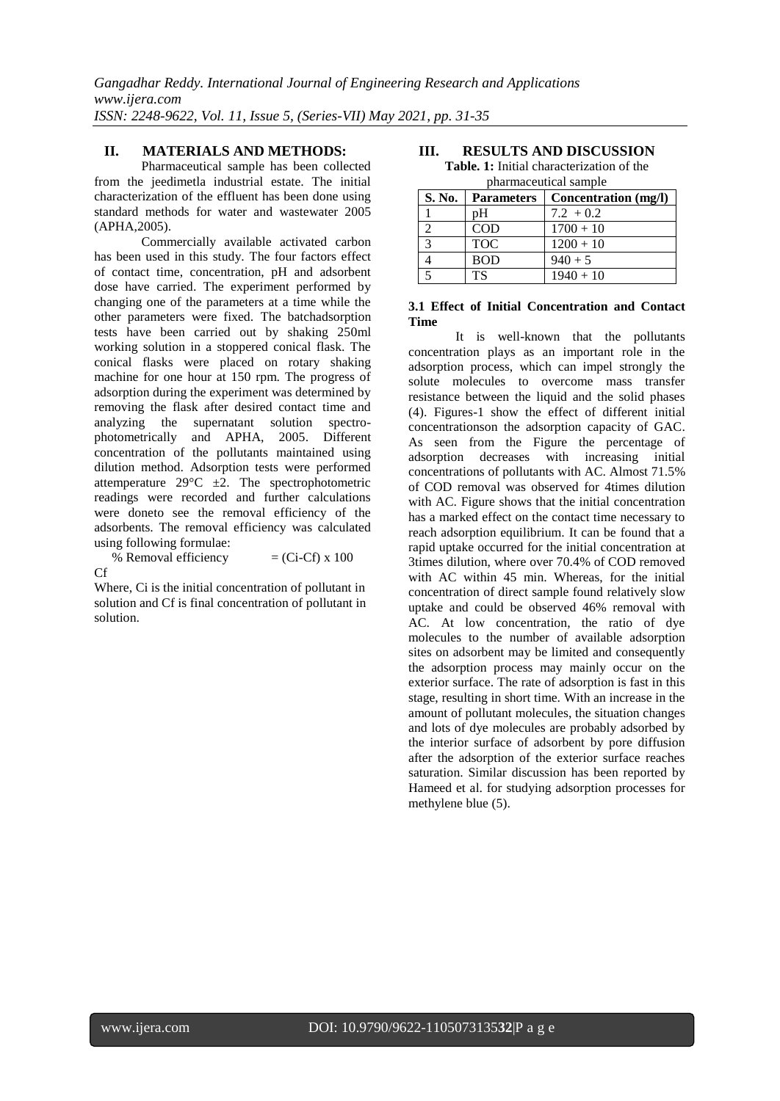### **II. MATERIALS AND METHODS:**

Pharmaceutical sample has been collected from the jeedimetla industrial estate. The initial characterization of the effluent has been done using standard methods for water and wastewater 2005 (APHA,2005).

Commercially available activated carbon has been used in this study. The four factors effect of contact time, concentration, pH and adsorbent dose have carried. The experiment performed by changing one of the parameters at a time while the other parameters were fixed. The batchadsorption tests have been carried out by shaking 250ml working solution in a stoppered conical flask. The conical flasks were placed on rotary shaking machine for one hour at 150 rpm. The progress of adsorption during the experiment was determined by removing the flask after desired contact time and analyzing the supernatant solution spectrophotometrically and APHA, 2005. Different concentration of the pollutants maintained using dilution method. Adsorption tests were performed attemperature  $29^{\circ}$ C  $\pm 2$ . The spectrophotometric readings were recorded and further calculations were doneto see the removal efficiency of the adsorbents. The removal efficiency was calculated using following formulae:

% Removal efficiency  $= (Ci - Cf) \times 100$ Cf

Where, Ci is the initial concentration of pollutant in solution and Cf is final concentration of pollutant in solution.

# **III. RESULTS AND DISCUSSION**

**Table. 1:** Initial characterization of the pharmaceutical sample

| S. No. | <b>Parameters</b> | Concentration (mg/l) |
|--------|-------------------|----------------------|
|        | pH                | $7.2 + 0.2$          |
|        | <b>COD</b>        | $1700 + 10$          |
|        | <b>TOC</b>        | $1200 + 10$          |
|        | <b>BOD</b>        | $940 + 5$            |
|        | <b>TS</b>         | $1940 + 10$          |

#### **3.1 Effect of Initial Concentration and Contact Time**

It is well-known that the pollutants concentration plays as an important role in the adsorption process, which can impel strongly the solute molecules to overcome mass transfer resistance between the liquid and the solid phases (4). Figures-1 show the effect of different initial concentrationson the adsorption capacity of GAC. As seen from the Figure the percentage of adsorption decreases with increasing initial concentrations of pollutants with AC. Almost 71.5% of COD removal was observed for 4times dilution with AC. Figure shows that the initial concentration has a marked effect on the contact time necessary to reach adsorption equilibrium. It can be found that a rapid uptake occurred for the initial concentration at 3times dilution, where over 70.4% of COD removed with AC within 45 min. Whereas, for the initial concentration of direct sample found relatively slow uptake and could be observed 46% removal with AC. At low concentration, the ratio of dye molecules to the number of available adsorption sites on adsorbent may be limited and consequently the adsorption process may mainly occur on the exterior surface. The rate of adsorption is fast in this stage, resulting in short time. With an increase in the amount of pollutant molecules, the situation changes and lots of dye molecules are probably adsorbed by the interior surface of adsorbent by pore diffusion after the adsorption of the exterior surface reaches saturation. Similar discussion has been reported by Hameed et al. for studying adsorption processes for methylene blue (5).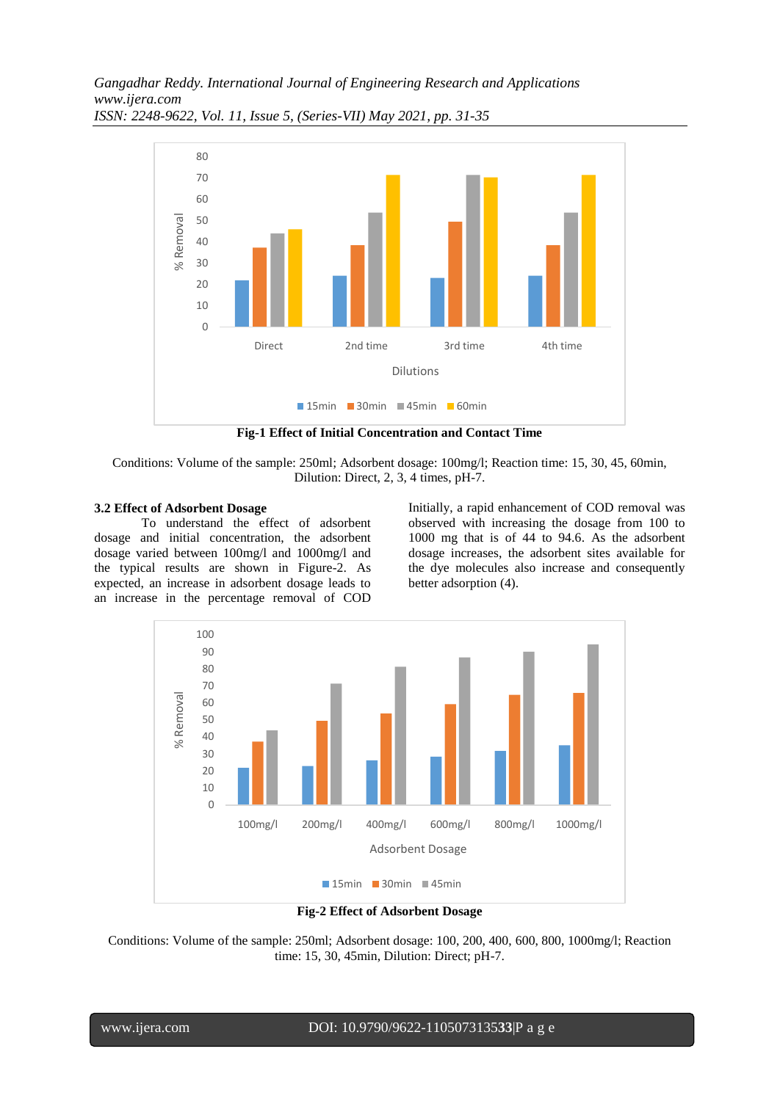*Gangadhar Reddy. International Journal of Engineering Research and Applications www.ijera.com ISSN: 2248-9622, Vol. 11, Issue 5, (Series-VII) May 2021, pp. 31-35*



**Fig-1 Effect of Initial Concentration and Contact Time**

Conditions: Volume of the sample: 250ml; Adsorbent dosage: 100mg/l; Reaction time: 15, 30, 45, 60min, Dilution: Direct, 2, 3, 4 times, pH-7.

#### **3.2 Effect of Adsorbent Dosage**

To understand the effect of adsorbent dosage and initial concentration, the adsorbent dosage varied between 100mg/l and 1000mg/l and the typical results are shown in Figure-2. As expected, an increase in adsorbent dosage leads to an increase in the percentage removal of COD Initially, a rapid enhancement of COD removal was observed with increasing the dosage from 100 to 1000 mg that is of 44 to 94.6. As the adsorbent dosage increases, the adsorbent sites available for the dye molecules also increase and consequently better adsorption (4).



**Fig-2 Effect of Adsorbent Dosage**

Conditions: Volume of the sample: 250ml; Adsorbent dosage: 100, 200, 400, 600, 800, 1000mg/l; Reaction time: 15, 30, 45min, Dilution: Direct; pH-7.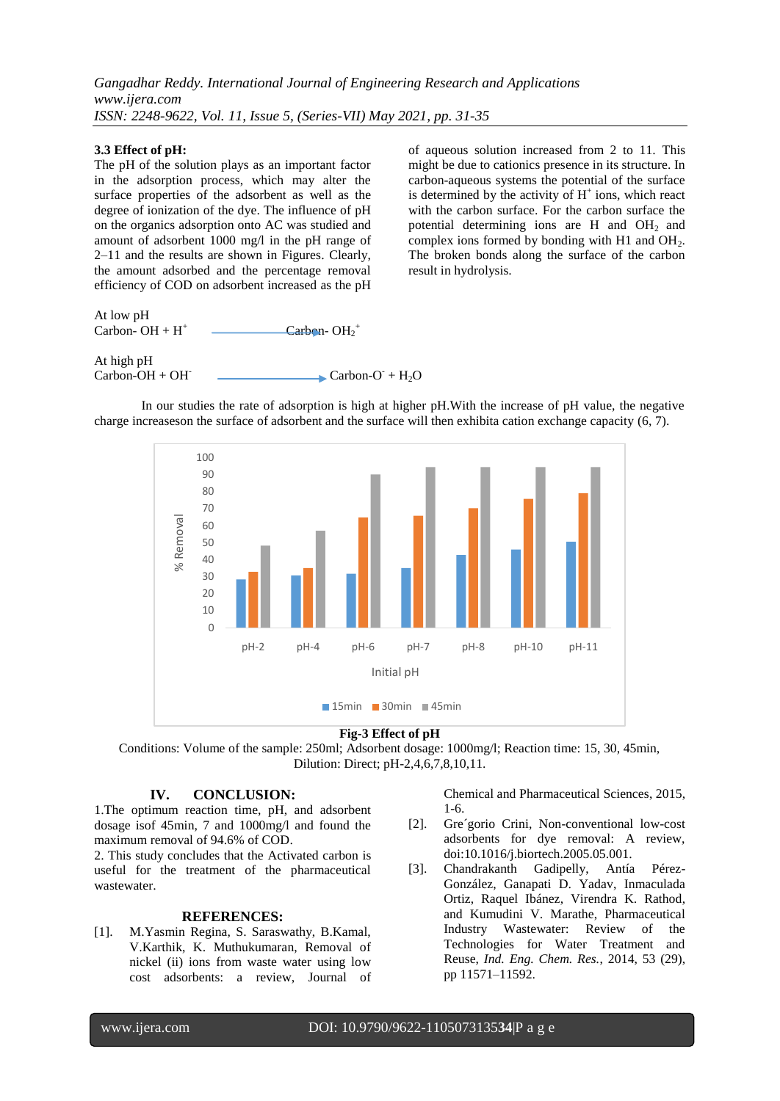#### **3.3 Effect of pH:**

The pH of the solution plays as an important factor in the adsorption process, which may alter the surface properties of the adsorbent as well as the degree of ionization of the dye. The influence of pH on the organics adsorption onto AC was studied and amount of adsorbent 1000 mg/l in the pH range of 2–11 and the results are shown in Figures. Clearly, the amount adsorbed and the percentage removal efficiency of COD on adsorbent increased as the pH of aqueous solution increased from 2 to 11. This might be due to cationics presence in its structure. In carbon-aqueous systems the potential of the surface is determined by the activity of  $H^+$  ions, which react with the carbon surface. For the carbon surface the potential determining ions are H and  $OH<sub>2</sub>$  and complex ions formed by bonding with H1 and  $OH<sub>2</sub>$ . The broken bonds along the surface of the carbon result in hydrolysis.

At low pH Carbon-  $OH + H^+$  $\text{Carbon-}OH_2^+$ At high pH  $Carbon-OH + OH^ + H_2O$ 

In our studies the rate of adsorption is high at higher pH.With the increase of pH value, the negative charge increaseson the surface of adsorbent and the surface will then exhibita cation exchange capacity (6, 7).



#### **Fig-3 Effect of pH**

Conditions: Volume of the sample: 250ml; Adsorbent dosage: 1000mg/l; Reaction time: 15, 30, 45min, Dilution: Direct; pH-2,4,6,7,8,10,11.

### **IV. CONCLUSION:**

1.The optimum reaction time, pH, and adsorbent dosage isof 45min, 7 and 1000mg/l and found the maximum removal of 94.6% of COD.

2. This study concludes that the Activated carbon is useful for the treatment of the pharmaceutical wastewater.

#### **REFERENCES:**

[1]. M.Yasmin Regina, S. Saraswathy, B.Kamal, V.Karthik, K. Muthukumaran, Removal of nickel (ii) ions from waste water using low cost adsorbents: a review, Journal of Chemical and Pharmaceutical Sciences, 2015, 1-6.

- [2]. Gre´gorio Crini, Non-conventional low-cost adsorbents for dye removal: A review, doi:10.1016/j.biortech.2005.05.001.
- [3]. [Chandrakanth Gadipelly,](http://pubs.acs.org/author/Gadipelly%2C+Chandrakanth) [Antía Pérez-](http://pubs.acs.org/author/P%C3%A9rez-Gonz%C3%A1lez%2C+Ant%C3%ADa)[González,](http://pubs.acs.org/author/P%C3%A9rez-Gonz%C3%A1lez%2C+Ant%C3%ADa) [Ganapati D. Yadav,](http://pubs.acs.org/author/Yadav%2C+Ganapati+D) [Inmaculada](http://pubs.acs.org/author/Ortiz%2C+Inmaculada)  [Ortiz,](http://pubs.acs.org/author/Ortiz%2C+Inmaculada) [Raquel Ibánez,](http://pubs.acs.org/author/Ib%C3%A1%C3%B1ez%2C+Raquel) [Virendra K. Rathod,](http://pubs.acs.org/author/Rathod%2C+Virendra+K) and [Kumudini V. Marathe,](http://pubs.acs.org/author/Marathe%2C+Kumudini+V) Pharmaceutical Industry Wastewater: Review of the Technologies for Water Treatment and Reuse, *Ind. Eng. Chem. Res.*, 2014, 53 (29), pp 11571–11592.